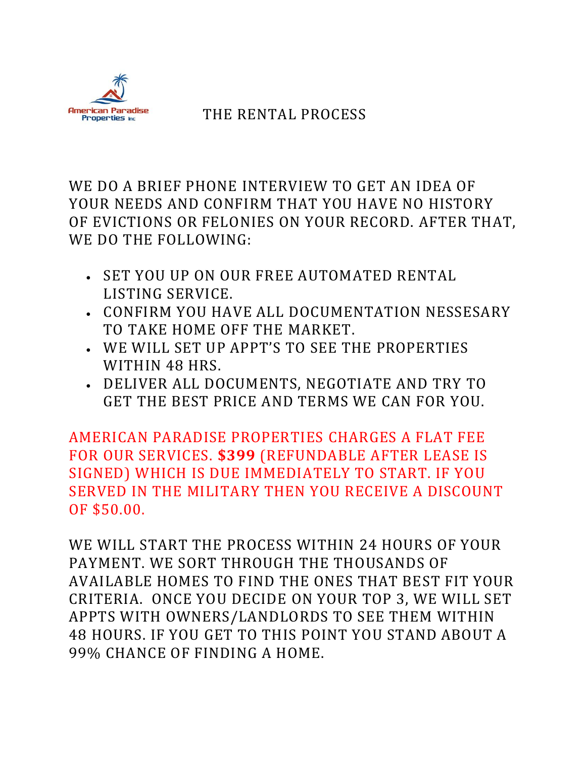

## THE RENTAL PROCESS

WE DO A BRIEF PHONE INTERVIEW TO GET AN IDEA OF YOUR NEEDS AND CONFIRM THAT YOU HAVE NO HISTORY OF EVICTIONS OR FELONIES ON YOUR RECORD. AFTER THAT, WE DO THE FOLLOWING:

- SET YOU UP ON OUR FREE AUTOMATED RENTAL LISTING SERVICE.
- CONFIRM YOU HAVE ALL DOCUMENTATION NESSESARY TO TAKE HOME OFF THE MARKET.
- WE WILL SET UP APPT'S TO SEE THE PROPERTIES WITHIN 48 HRS.
- DELIVER ALL DOCUMENTS, NEGOTIATE AND TRY TO GET THE BEST PRICE AND TERMS WE CAN FOR YOU.

AMERICAN PARADISE PROPERTIES CHARGES A FLAT FEE FOR OUR SERVICES. **\$399** (REFUNDABLE AFTER LEASE IS SIGNED) WHICH IS DUE IMMEDIATELY TO START. IF YOU SERVED IN THE MILITARY THEN YOU RECEIVE A DISCOUNT OF \$50.00.

WE WILL START THE PROCESS WITHIN 24 HOURS OF YOUR PAYMENT. WE SORT THROUGH THE THOUSANDS OF AVAILABLE HOMES TO FIND THE ONES THAT BEST FIT YOUR CRITERIA. ONCE YOU DECIDE ON YOUR TOP 3, WE WILL SET APPTS WITH OWNERS/LANDLORDS TO SEE THEM WITHIN 48 HOURS. IF YOU GET TO THIS POINT YOU STAND ABOUT A 99% CHANCE OF FINDING A HOME.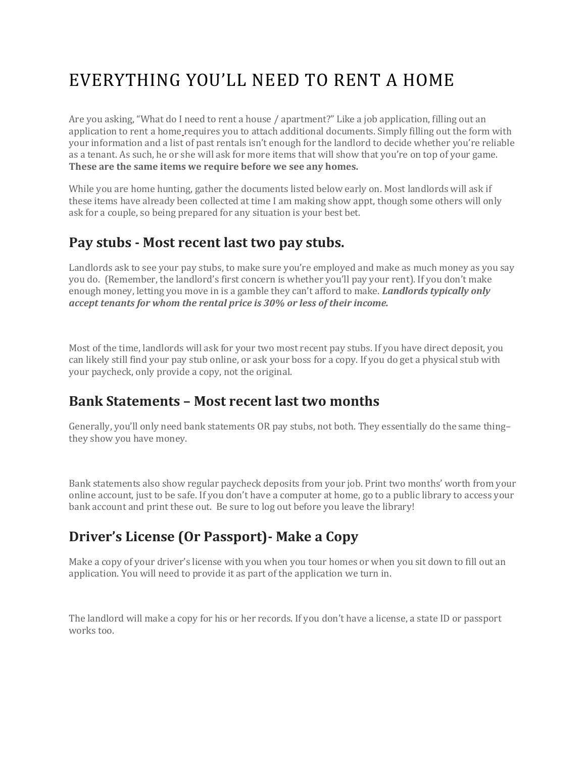# EVERYTHING YOU'LL NEED TO RENT A HOME

Are you asking, "What do I need to rent a house / apartment?" Like a job application, filling out an application to rent a home requires you to attach additional documents. Simply filling out the form with your information and a list of past rentals isn't enough for the landlord to decide whether you're reliable as a tenant. As such, he or she will ask for more items that will show that you're on top of your game. **These are the same items we require before we see any homes.**

While you are home hunting, gather the documents listed below early on. Most landlords will ask if these items have already been collected at time I am making show appt, though some others will only ask for a couple, so being prepared for any situation is your best bet.

#### **Pay stubs - Most recent last two pay stubs.**

Landlords ask to see your pay stubs, to make sure you're employed and make as much money as you say you do. (Remember, the landlord's first concern is whether you'll pay your rent). If you don't make enough money, letting you move in is a gamble they can't afford to make. *Landlords typically only accept tenants for whom the rental price is 30% or less of their income.*

Most of the time, landlords will ask for your two most recent pay stubs. If you have direct deposit, you can likely still find your pay stub online, or ask your boss for a copy. If you do get a physical stub with your paycheck, only provide a copy, not the original.

#### **Bank Statements – Most recent last two months**

Generally, you'll only need bank statements OR pay stubs, not both. They essentially do the same thing– they show you have money.

Bank statements also show regular paycheck deposits from your job. Print two months' worth from your online account, just to be safe. If you don't have a computer at home, go to a public library to access your bank account and print these out. Be sure to log out before you leave the library!

## **Driver's License (Or Passport)- Make a Copy**

Make a copy of your driver's license with you when you tour homes or when you sit down to fill out an application. You will need to provide it as part of the application we turn in.

The landlord will make a copy for his or her records. If you don't have a license, a state ID or passport works too.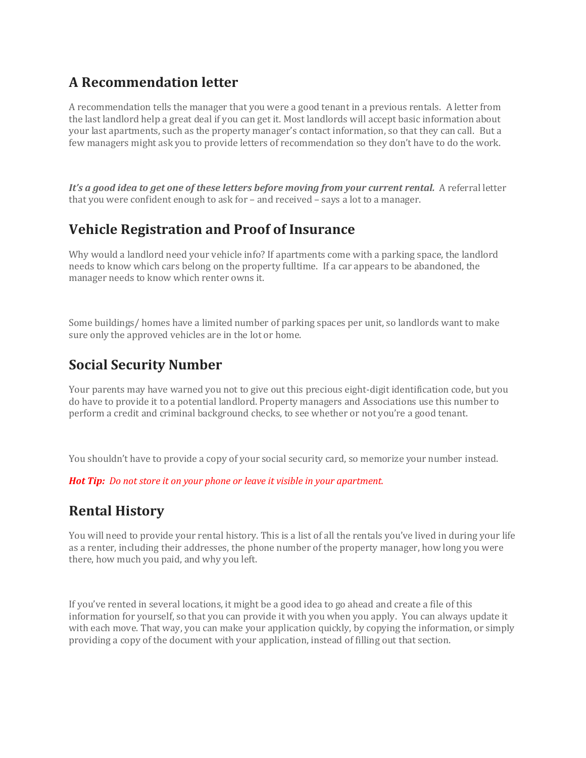## **A Recommendation letter**

A recommendation tells the manager that you were a good tenant in a previous rentals. A letter from the last landlord help a great deal if you can get it. Most landlords will accept basic information about your last apartments, such as the property manager's contact information, so that they can call. But a few managers might ask you to provide letters of recommendation so they don't have to do the work.

*It's a good idea to get one of these letters before moving from your current rental.* A referral letter that you were confident enough to ask for – and received – says a lot to a manager.

#### **Vehicle Registration and Proof of Insurance**

Why would a landlord need your vehicle info? If apartments come with a parking space, the landlord needs to know which cars belong on the property fulltime. If a car appears to be abandoned, the manager needs to know which renter owns it.

Some buildings/ homes have a limited number of parking spaces per unit, so landlords want to make sure only the approved vehicles are in the lot or home.

## **Social Security Number**

Your parents may have warned you not to give out this precious eight-digit identification code, but you do have to provide it to a potential landlord. Property managers and Associations use this number to perform a credit and criminal background checks, to see whether or not you're a good tenant.

You shouldn't have to provide a copy of your social security card, so memorize your number instead.

*Hot Tip: Do not store it on your phone or leave it visible in your apartment.*

#### **Rental History**

You will need to provide your rental history. This is a list of all the rentals you've lived in during your life as a renter, including their addresses, the phone number of the property manager, how long you were there, how much you paid, and why you left.

If you've rented in several locations, it might be a good idea to go ahead and create a file of this information for yourself, so that you can provide it with you when you apply. You can always update it with each move. That way, you can make your application quickly, by copying the information, or simply providing a copy of the document with your application, instead of filling out that section.